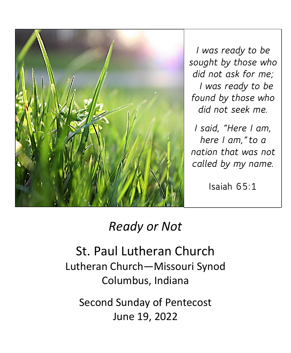

*I was ready to be sought by those who did not ask for me; I was ready to be found by those who did not seek me.*

*I said, "Here I am, here I am,"to a nation that was not called by my name.*

**Isaiah 65:1**

# *Ready or Not*

St. Paul Lutheran Church Lutheran Church—Missouri Synod Columbus, Indiana

Second Sunday of Pentecost June 19, 2022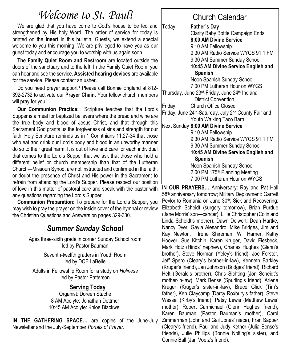## *Welcome to St. Paul!*

We are glad that you have come to God's house to be fed and strengthened by His holy Word. The order of service for today is printed on the **insert** in this bulletin. Guests, we extend a special welcome to you this morning. We are privileged to have you as our guest today and encourage you to worship with us again soon.

**The Family Quiet Room and Restroom** are located outside the doors of the sanctuary and to the left. In the Family Quiet Room, you can hear and see the service. **Assisted hearing devices** are available for the service. Please contact an usher.

Do you need prayer support? Please call Bonnie England at 812- 392-2732 to activate our **Prayer Chain.** Your fellow church members will pray for you.

**Our Communion Practice:** Scripture teaches that the Lord's Supper is a meal for baptized believers where the bread and wine are the true body and blood of Jesus Christ, and that through this Sacrament God grants us the forgiveness of sins and strength for our faith. Holy Scripture reminds us in 1 Corinthians 11:27-34 that those who eat and drink our Lord's body and blood in an unworthy manner do so to their great harm. It is out of love and care for each individual that comes to the Lord's Supper that we ask that those who hold a different belief or church membership than that of the Lutheran Church—Missouri Synod, are not instructed and confirmed in the faith, or doubt the presence of Christ and His power in the Sacrament to refrain from attending the Lord's Supper. Please respect our position of love in this matter of pastoral care and speak with the pastor with any questions regarding the Lord's Supper.

**Communion Preparation:** To prepare for the Lord's Supper, you may wish to pray the prayer on the inside cover of the hymnal or review the Christian Questions and Answers on pages 329-330.

## *Summer Sunday School*

Ages three-sixth grade in corner Sunday School room led by Pastor Bauman

> Seventh-twelfth graders in Youth Room led by DCE LaBelle

Adults in Fellowship Room for a study on *Holiness* led by Pastor Patterson

#### **Serving Today**

Organist: Doreen Stache 8 AM Acolyte: Jonathan Dettmer 10:45 AM Acolyte: Khloe Blackwell

**IN THE GATHERING SPACE…** are copies of the June-July Newsletter and the July-September *Portals of Prayer.* 

## Church Calendar

Today **Father's Day** Clarity Baby Bottle Campaign Ends **8:00 AM Divine Service** 9:10 AM Fellowship 9:30 AM Radio Service WYGS 91.1 FM 9:30 AM Summer Sunday School **10:45 AM Divine Service English and Spanish** Noon Spanish Sunday School 7:00 PM Lutheran Hour on WYGS Thursday, June 23rd-Friday, June 24 th Indiana District Convention Friday Church Office Closed Friday, June 24<sup>th</sup>-Saturday, July 2<sup>nd</sup> County Fair and Youth Walking Taco Barn Next Sunday **8:00 AM Divine Service** 9:10 AM Fellowship 9:30 AM Radio Service WYGS 91.1 FM 9:30 AM Summer Sunday School **10:45 AM Divine Service English and Spanish** Noon Spanish Sunday School 2:00 PM 175th Planning Meeting 7:00 PM Lutheran Hour on WYGS

**IN OUR PRAYERS…** Anniversary: Ray and Pat Hall 58th anniversary tomorrow; Military Deployment: Garrett Pevlor to Romania on June 30<sup>th</sup>; Sick and Recovering: Elizabeth Scheidt (surgery tomorrow), Brian Purdue (Jane Morris' son—cancer), Lillie Christopher (Colin and Linda Scheidt's mother), Dawn Deiwert, Dean Hartke, Nancy Dyer, Gayla Alesandro, Mike Bridges, Jim and Kay Newton, Irene Shireman, Wil Harner, Kathy Hoover, Sue Kitchin, Karen Kruger, David Fiesbeck, Mark Hotz (Hinds' nephew), Charles Hughes (Glenn's brother), Steve Norman (Yeley's friend), Joe Forster, Jeff Spero (Cleary's brother-in-law), Kenneth Barkley (Kruger's friend), Jan Johnson (Bridges' friend), Richard Helt (Gerald's brother), Chris Sichting (Jon Scheidt's mother-in-law), Mark Bense (Spurling's friend), Arlene Kruger (Kruger's sister-in-law), Bruce Glick (Tim's father), Ken Claycamp (Darcy Roxbury's father), Steve Wessel (Kirby's friend), Patsy Lewis (Matthew Lewis' mother), Robert Carmichael (Glenn Hughes' friend), Karen Bauman (Pastor Bauman's mother), Carol Zimmerman (John and Gail Jones' niece), Fran Sapper (Cleary's friend), Paul and Judy Ketner (Julia Bense's friends), Julie Phillips (Bonnie Nolting's sister), and Connie Ball (Jan Voelz's friend).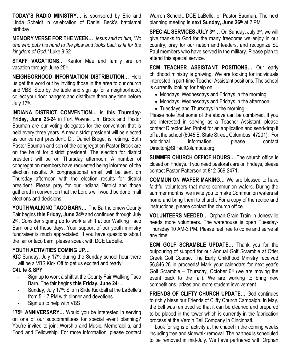**TODAY'S RADIO MINISTRY…** is sponsored by Eric and Linda Scheidt in celebration of Daniel Beck's batpismal birthday.

**MEMORY VERSE FOR THE WEEK…** *Jesus said to him, "No one who puts his hand to the plow and looks back is fit for the kingdom of God."* Luke 9:62

**STAFF VACATIONS…** Kantor Mau and family are on vacation through June 25<sup>th</sup>.

**NEIGHBORHOOD INFORMATION DISTRIBUTION…** Help us get the word out by inviting those in the area to our church and VBS. Stop by the table and sign up for a neighborhood, collect your door hangers and distribute them any time before July 17<sup>th</sup>.

**INDIANA DISTRICT CONVENTION…** is **this Thursday-Friday, June 23-24** in Fort Wayne. Jim Brock and Pastor Bauman are our voting delegates for the convention that is held every three years. A new district president will be elected as our current president, Dr. Daniel Brege, is retiring. Both Pastor Bauman and son of the congregation Pastor Brock are on the ballot for district president. The election for district president will be on Thursday afternoon. A number of congregation members have requested being informed of the election results. A congregational email will be sent on Thursday afternoon with the election results for district president. Please pray for our Indiana District and those gathered in convention that the Lord's will would be done in all elections and decisions.

**YOUTH WALKING TACO BARN…** The Bartholomew County Fair begins **this Friday, June 24th** and continues through July 2<sup>nd</sup>. Consider signing up to work a shift at our Walking Taco Barn one of those days. Your support of our youth ministry fundraiser is much appreciated. If you have questions about the fair or taco barn, please speak with DCE LaBelle.

#### **YOUTH ACTIVITIES COMING UP…**

KfC Sunday, July 17<sup>th</sup>: during the Sunday school hour there will be a VBS Kick Off to get us excited and ready!

#### **C4Life & SPY**

- Sign up to work a shift at the County Fair Walking Taco Barn. The fair begins **this Friday, June 24th .**
- Sunday, July 17<sup>th</sup>: Slip 'n Slide Kickball at the LaBelle's from 5 – 7 PM with dinner and devotions.
- Sign up to help with VBS

**175th ANNIVERSARY…** Would you be interested in serving on one of our subcommittees for special event planning? You're invited to join: Worship and Music, Memorabilia, and Food and Fellowship. For more information, please contact Warren Scheidt, DCE LaBelle, or Pastor Bauman. The next planning meeting is **next Sunday, June 26th** at 2 PM.

**SPECIAL SERVICES JULY 3rd…** On Sunday, July 3rd, we will give thanks to God for the many freedoms we enjoy in our country, pray for our nation and leaders, and recognize St. Paul members who have served in the military. Please plan to attend this special service.

**ECM TEACHER ASSISTANT POSITIONS…** Our early childhood ministry is growing! We are looking for individuals interested in part-time Teacher Assistant positions. The school is currently looking for help on:

- Mondays, Wednesdays and Fridays in the morning
- Mondays, Wednesdays and Fridays in the afternoon
- Tuesdays and Thursdays in the morning

Please note that some of the above can be combined. If you are interested in serving as a Teacher Assistant, please contact Director Jen Probst for an application and send/drop it off at the school (6045 E. State Street, Columbus, 47201). For additional information, please contact Director@StPaulColumbus.org.

**SUMMER CHURCH OFFICE HOURS…** The church office is closed on Fridays. If you need pastoral care on Fridays, please contact Pastor Patterson at 812-569-2471.

**COMMUNION WAFER MAKING…** We are blessed to have faithful volunteers that make communion wafers. During the summer months, we invite you to make Communion wafers at home and bring them to church. For a copy of the recipe and instructions, please contact the church office.

**VOLUNTEERS NEEDED…** Orphan Grain Train in Jonesville needs more volunteers. The warehouse is open Tuesday-Thursday 10 AM-3 PM. Please feel free to come and serve at any time.

**ECM GOLF SCRAMBLE UPDATE…** Thank you for the outpouring of support for our Annual Golf Scramble at Otter Creek Golf Course. The Early Childhood Ministry received \$6,846.26 in proceeds! Mark your calendars for next year's Golf Scramble – Thursday, October  $6<sup>th</sup>$  (we are moving the event back to the fall). We are working to bring new competitions, prizes and more student involvement.

**FRIENDS OF CLIFTY CHURCH UPDATE…** God continues to richly bless our Friends of Clifty Church Campaign. In May, the bell was removed so that it can be cleaned and prepared to be placed in the tower which is currently in the fabrication process at the Verdin Bell Company in Cincinnati.

Look for signs of activity at the chapel in the coming weeks including tree and sidewalk removal. The narthex is scheduled to be removed in mid-July. We have partnered with Orphan